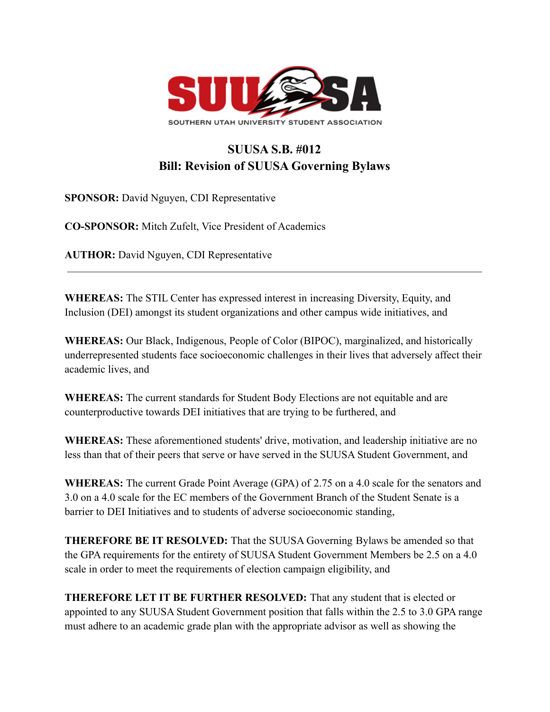

## **SUUSA S.B. #012 Bill: Revision of SUUSA Governing Bylaws**

**SPONSOR:** David Nguyen, CDI Representative

**CO-SPONSOR:** Mitch Zufelt, Vice President of Academics

**AUTHOR:** David Nguyen, CDI Representative

**WHEREAS:** The STIL Center has expressed interest in increasing Diversity, Equity, and Inclusion (DEI) amongst its student organizations and other campus wide initiatives, and

**WHEREAS:** Our Black, Indigenous, People of Color (BIPOC), marginalized, and historically underrepresented students face socioeconomic challenges in their lives that adversely affect their academic lives, and

**WHEREAS:** The current standards for Student Body Elections are not equitable and are counterproductive towards DEI initiatives that are trying to be furthered, and

**WHEREAS:** These aforementioned students' drive, motivation, and leadership initiative are no less than that of their peers that serve or have served in the SUUSA Student Government, and

**WHEREAS:** The current Grade Point Average (GPA) of 2.75 on a 4.0 scale for the senators and 3.0 on a 4.0 scale for the EC members of the Government Branch of the Student Senate is a barrier to DEI Initiatives and to students of adverse socioeconomic standing,

**THEREFORE BE IT RESOLVED:** That the SUUSA Governing Bylaws be amended so that the GPA requirements for the entirety of SUUSA Student Government Members be 2.5 on a 4.0 scale in order to meet the requirements of election campaign eligibility, and

**THEREFORE LET IT BE FURTHER RESOLVED:** That any student that is elected or appointed to any SUUSA Student Government position that falls within the 2.5 to 3.0 GPA range must adhere to an academic grade plan with the appropriate advisor as well as showing the